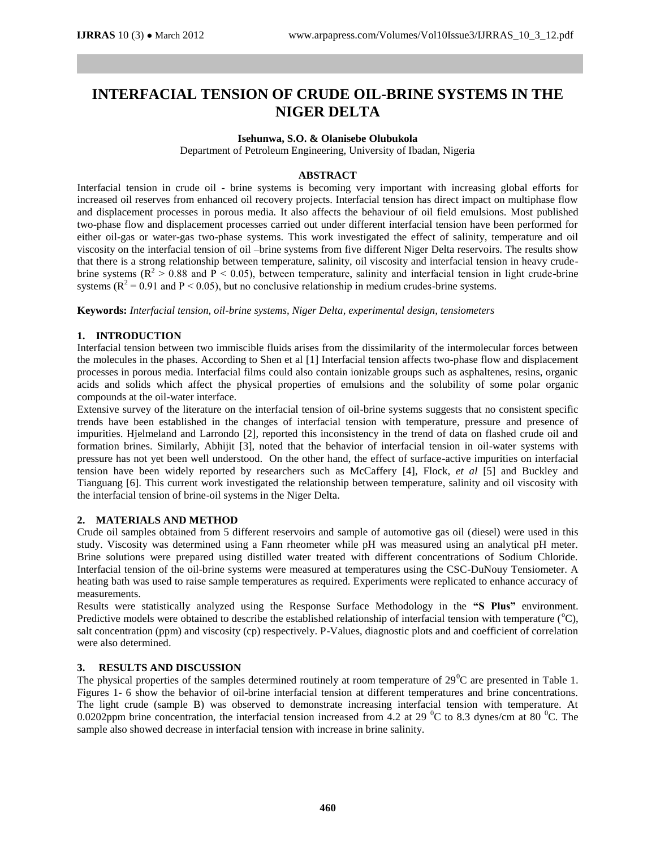# **INTERFACIAL TENSION OF CRUDE OIL-BRINE SYSTEMS IN THE NIGER DELTA**

## **Isehunwa, S.O. & Olanisebe Olubukola**

Department of Petroleum Engineering, University of Ibadan, Nigeria

### **ABSTRACT**

Interfacial tension in crude oil - brine systems is becoming very important with increasing global efforts for increased oil reserves from enhanced oil recovery projects. Interfacial tension has direct impact on multiphase flow and displacement processes in porous media. It also affects the behaviour of oil field emulsions. Most published two-phase flow and displacement processes carried out under different interfacial tension have been performed for either oil-gas or water-gas two-phase systems. This work investigated the effect of salinity, temperature and oil viscosity on the interfacial tension of oil –brine systems from five different Niger Delta reservoirs. The results show that there is a strong relationship between temperature, salinity, oil viscosity and interfacial tension in heavy crudebrine systems ( $\mathbb{R}^2 > 0.88$  and  $\mathbb{P} < 0.05$ ), between temperature, salinity and interfacial tension in light crude-brine systems ( $R^2 = 0.91$  and  $P < 0.05$ ), but no conclusive relationship in medium crudes-brine systems.

**Keywords:** *Interfacial tension, oil-brine systems, Niger Delta, experimental design, tensiometers*

## **1. INTRODUCTION**

Interfacial tension between two immiscible fluids arises from the dissimilarity of the intermolecular forces between the molecules in the phases. According to Shen et al [1] Interfacial tension affects two-phase flow and displacement processes in porous media. Interfacial films could also contain ionizable groups such as asphaltenes, resins, organic acids and solids which affect the physical properties of emulsions and the solubility of some polar organic compounds at the oil-water interface.

Extensive survey of the literature on the interfacial tension of oil-brine systems suggests that no consistent specific trends have been established in the changes of interfacial tension with temperature, pressure and presence of impurities. Hjelmeland and Larrondo [2], reported this inconsistency in the trend of data on flashed crude oil and formation brines. Similarly, Abhijit [3], noted that the behavior of interfacial tension in oil-water systems with pressure has not yet been well understood. On the other hand, the effect of surface-active impurities on interfacial tension have been widely reported by researchers such as McCaffery [4], Flock, *et al* [5] and Buckley and Tianguang [6]. This current work investigated the relationship between temperature, salinity and oil viscosity with the interfacial tension of brine-oil systems in the Niger Delta.

#### **2. MATERIALS AND METHOD**

Crude oil samples obtained from 5 different reservoirs and sample of automotive gas oil (diesel) were used in this study. Viscosity was determined using a Fann rheometer while pH was measured using an analytical pH meter. Brine solutions were prepared using distilled water treated with different concentrations of Sodium Chloride. Interfacial tension of the oil-brine systems were measured at temperatures using the CSC-DuNouy Tensiometer. A heating bath was used to raise sample temperatures as required. Experiments were replicated to enhance accuracy of measurements.

Results were statistically analyzed using the Response Surface Methodology in the **"S Plus"** environment. Predictive models were obtained to describe the established relationship of interfacial tension with temperature  $(^{\circ}C)$ , salt concentration (ppm) and viscosity (cp) respectively. P-Values, diagnostic plots and and coefficient of correlation were also determined.

#### **3. RESULTS AND DISCUSSION**

The physical properties of the samples determined routinely at room temperature of  $29^{\circ}$ C are presented in Table 1. Figures 1- 6 show the behavior of oil-brine interfacial tension at different temperatures and brine concentrations. The light crude (sample B) was observed to demonstrate increasing interfacial tension with temperature. At 0.0202ppm brine concentration, the interfacial tension increased from 4.2 at 29  $^{\circ}$ C to 8.3 dynes/cm at 80  $^{\circ}$ C. The sample also showed decrease in interfacial tension with increase in brine salinity.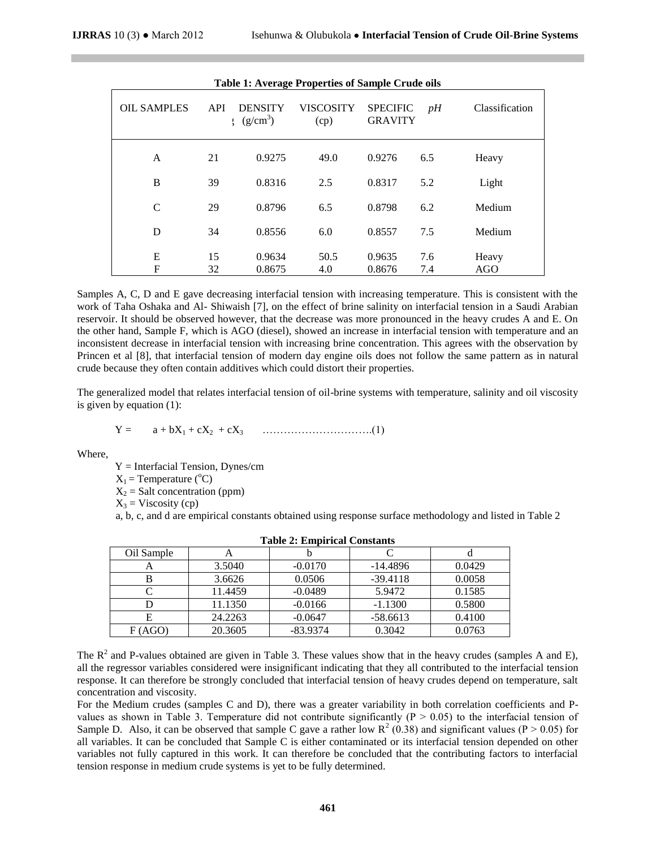| <b>Table 1: Average Properties of Sample Crude oils</b> |          |                              |                   |                                   |            |                     |
|---------------------------------------------------------|----------|------------------------------|-------------------|-----------------------------------|------------|---------------------|
| <b>OIL SAMPLES</b>                                      | API      | <b>DENSITY</b><br>$(g/cm^3)$ | VISCOSITY<br>(cp) | <b>SPECIFIC</b><br><b>GRAVITY</b> | pH         | Classification      |
| A                                                       | 21       | 0.9275                       | 49.0              | 0.9276                            | 6.5        | Heavy               |
| B                                                       | 39       | 0.8316                       | 2.5               | 0.8317                            | 5.2        | Light               |
| $\mathcal{C}$                                           | 29       | 0.8796                       | 6.5               | 0.8798                            | 6.2        | Medium              |
| D                                                       | 34       | 0.8556                       | 6.0               | 0.8557                            | 7.5        | Medium              |
| E<br>F                                                  | 15<br>32 | 0.9634<br>0.8675             | 50.5<br>4.0       | 0.9635<br>0.8676                  | 7.6<br>7.4 | Heavy<br><b>AGO</b> |

Samples A, C, D and E gave decreasing interfacial tension with increasing temperature. This is consistent with the work of Taha Oshaka and Al- Shiwaish [7], on the effect of brine salinity on interfacial tension in a Saudi Arabian reservoir. It should be observed however, that the decrease was more pronounced in the heavy crudes A and E. On the other hand, Sample F, which is AGO (diesel), showed an increase in interfacial tension with temperature and an inconsistent decrease in interfacial tension with increasing brine concentration. This agrees with the observation by Princen et al [8], that interfacial tension of modern day engine oils does not follow the same pattern as in natural crude because they often contain additives which could distort their properties.

The generalized model that relates interfacial tension of oil-brine systems with temperature, salinity and oil viscosity is given by equation (1):

$$
Y = a + bX_1 + cX_2 + cX_3 \quad \dots \quad \dots \quad \dots \quad \dots \quad (1)
$$

Where,

 $Y =$  Interfacial Tension, Dynes/cm

 $X_1$  = Temperature ( ${}^{\circ}$ C)

 $X_2$  = Salt concentration (ppm)

 $X_3$  = Viscosity (cp)

a, b, c, and d are empirical constants obtained using response surface methodology and listed in Table 2

| Table 2: Empirical Constants |         |            |            |        |  |
|------------------------------|---------|------------|------------|--------|--|
| Oil Sample                   | A       |            |            |        |  |
|                              | 3.5040  | $-0.0170$  | $-14.4896$ | 0.0429 |  |
|                              | 3.6626  | 0.0506     | $-39.4118$ | 0.0058 |  |
|                              | 11.4459 | $-0.0489$  | 5.9472     | 0.1585 |  |
|                              | 11.1350 | $-0.0166$  | $-1.1300$  | 0.5800 |  |
|                              | 24.2263 | $-0.0647$  | $-58.6613$ | 0.4100 |  |
| F(AGO)                       | 20.3605 | $-83.9374$ | 0.3042     | 0.0763 |  |

|  |  | <b>Table 2: Empirical Constants</b> |  |
|--|--|-------------------------------------|--|
|--|--|-------------------------------------|--|

The  $R^2$  and P-values obtained are given in Table 3. These values show that in the heavy crudes (samples A and E), all the regressor variables considered were insignificant indicating that they all contributed to the interfacial tension response. It can therefore be strongly concluded that interfacial tension of heavy crudes depend on temperature, salt concentration and viscosity.

For the Medium crudes (samples C and D), there was a greater variability in both correlation coefficients and Pvalues as shown in Table 3. Temperature did not contribute significantly ( $P > 0.05$ ) to the interfacial tension of Sample D. Also, it can be observed that sample C gave a rather low  $R^2$  (0.38) and significant values (P > 0.05) for all variables. It can be concluded that Sample C is either contaminated or its interfacial tension depended on other variables not fully captured in this work. It can therefore be concluded that the contributing factors to interfacial tension response in medium crude systems is yet to be fully determined.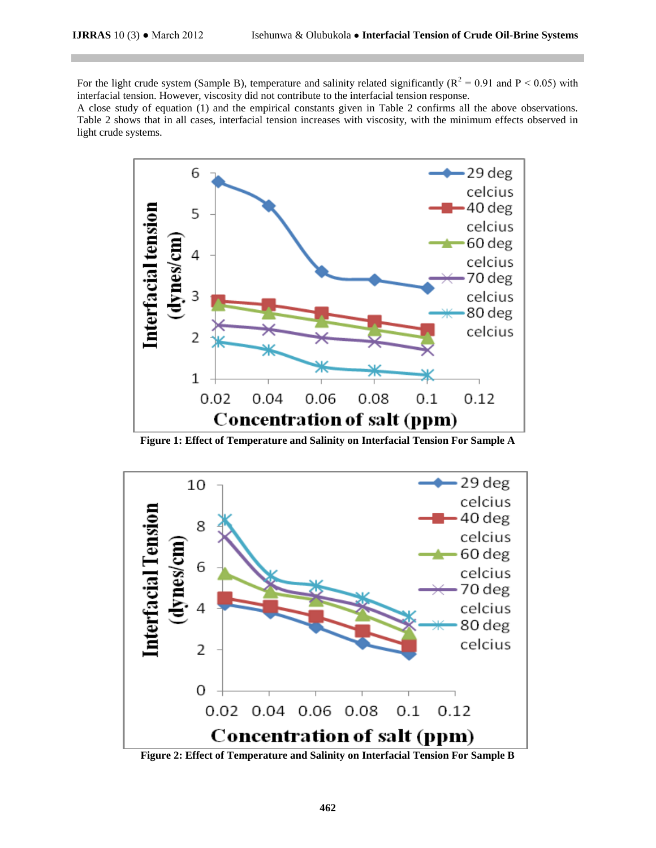For the light crude system (Sample B), temperature and salinity related significantly ( $R^2 = 0.91$  and  $P < 0.05$ ) with interfacial tension. However, viscosity did not contribute to the interfacial tension response.

A close study of equation (1) and the empirical constants given in Table 2 confirms all the above observations. Table 2 shows that in all cases, interfacial tension increases with viscosity, with the minimum effects observed in light crude systems.



**Figure 1: Effect of Temperature and Salinity on Interfacial Tension For Sample A**



**Figure 2: Effect of Temperature and Salinity on Interfacial Tension For Sample B**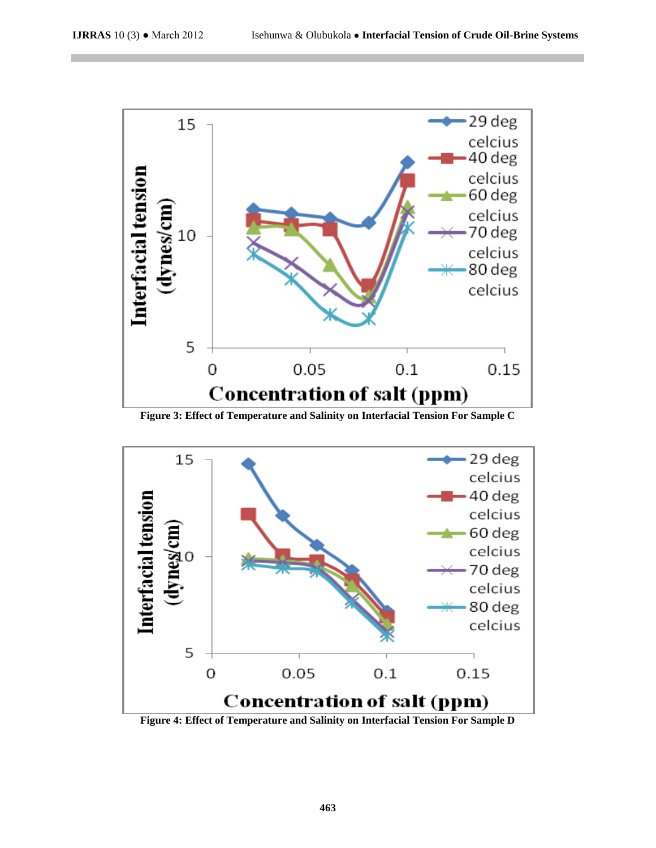

**Figure 3: Effect of Temperature and Salinity on Interfacial Tension For Sample C**



**Figure 4: Effect of Temperature and Salinity on Interfacial Tension For Sample D**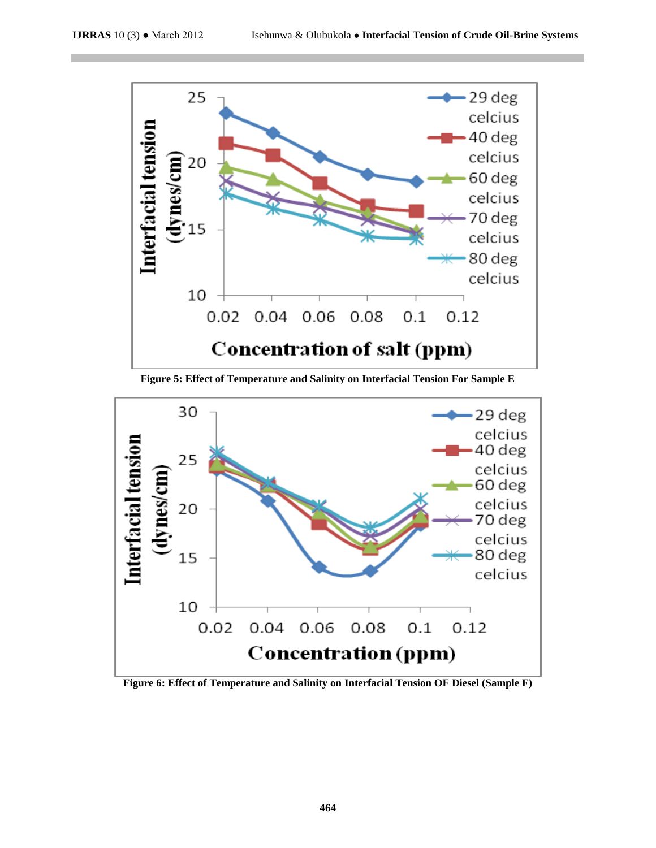

**Figure 5: Effect of Temperature and Salinity on Interfacial Tension For Sample E**



**Figure 6: Effect of Temperature and Salinity on Interfacial Tension OF Diesel (Sample F)**